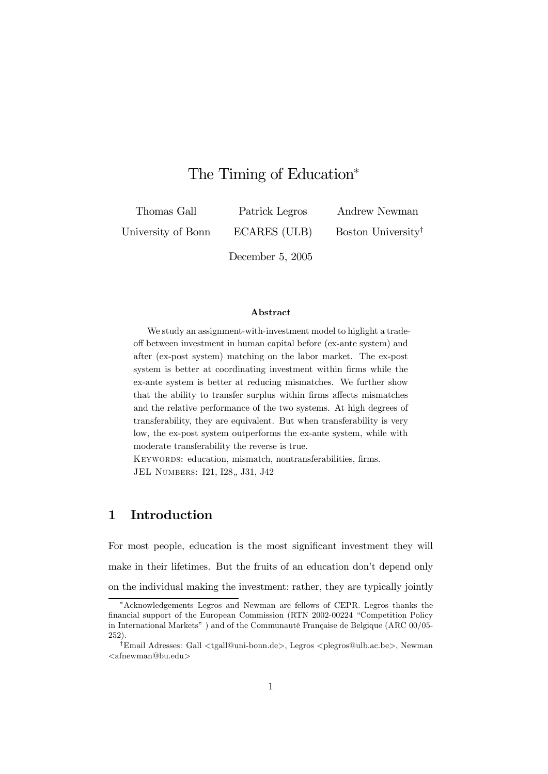# The Timing of Education<sup>∗</sup>

Thomas Gall

Patrick Legros

Andrew Newman

University of Bonn

ECARES (ULB)

Boston University†

December 5, 2005

#### Abstract

We study an assignment-with-investment model to higlight a tradeoff between investment in human capital before (ex-ante system) and after (ex-post system) matching on the labor market. The ex-post system is better at coordinating investment within firms while the ex-ante system is better at reducing mismatches. We further show that the ability to transfer surplus within firms affects mismatches and the relative performance of the two systems. At high degrees of transferability, they are equivalent. But when transferability is very low, the ex-post system outperforms the ex-ante system, while with moderate transferability the reverse is true.

KEYWORDS: education, mismatch, nontransferabilities, firms. JEL NUMBERS: I21, I28,, J31, J42

# 1 Introduction

For most people, education is the most significant investment they will make in their lifetimes. But the fruits of an education don't depend only on the individual making the investment: rather, they are typically jointly

<sup>∗</sup>Acknowledgements Legros and Newman are fellows of CEPR. Legros thanks the financial support of the European Commission (RTN 2002-00224 "Competition Policy in International Markets" ) and of the Communauté Française de Belgique (ARC 00/05- 252).

<sup>†</sup>Email Adresses: Gall <tgall@uni-bonn.de>, Legros <plegros@ulb.ac.be>, Newman  $\langle$ afnewman@bu.edu $\rangle$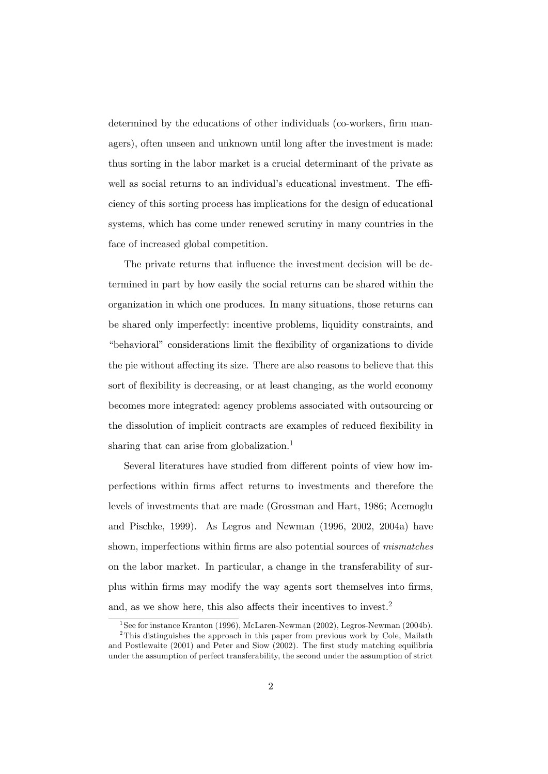determined by the educations of other individuals (co-workers, firm managers), often unseen and unknown until long after the investment is made: thus sorting in the labor market is a crucial determinant of the private as well as social returns to an individual's educational investment. The efficiency of this sorting process has implications for the design of educational systems, which has come under renewed scrutiny in many countries in the face of increased global competition.

The private returns that influence the investment decision will be determined in part by how easily the social returns can be shared within the organization in which one produces. In many situations, those returns can be shared only imperfectly: incentive problems, liquidity constraints, and "behavioral" considerations limit the flexibility of organizations to divide the pie without affecting its size. There are also reasons to believe that this sort of flexibility is decreasing, or at least changing, as the world economy becomes more integrated: agency problems associated with outsourcing or the dissolution of implicit contracts are examples of reduced flexibility in sharing that can arise from globalization.<sup>1</sup>

Several literatures have studied from different points of view how imperfections within firms affect returns to investments and therefore the levels of investments that are made (Grossman and Hart, 1986; Acemoglu and Pischke, 1999). As Legros and Newman (1996, 2002, 2004a) have shown, imperfections within firms are also potential sources of mismatches on the labor market. In particular, a change in the transferability of surplus within firms may modify the way agents sort themselves into firms, and, as we show here, this also affects their incentives to invest.2

<sup>&</sup>lt;sup>1</sup>See for instance Kranton (1996), McLaren-Newman (2002), Legros-Newman (2004b). <sup>2</sup>This distinguishes the approach in this paper from previous work by Cole, Mailath and Postlewaite (2001) and Peter and Siow (2002). The first study matching equilibria under the assumption of perfect transferability, the second under the assumption of strict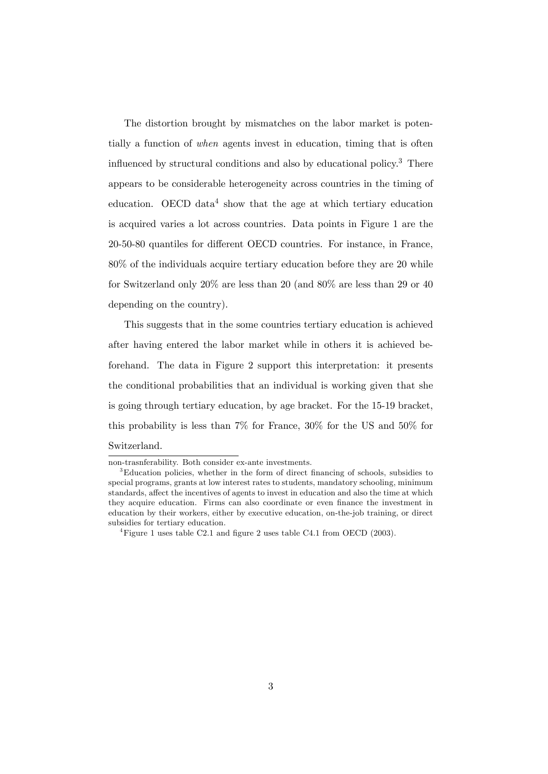The distortion brought by mismatches on the labor market is potentially a function of when agents invest in education, timing that is often influenced by structural conditions and also by educational policy.3 There appears to be considerable heterogeneity across countries in the timing of education. OECD data<sup>4</sup> show that the age at which tertiary education is acquired varies a lot across countries. Data points in Figure 1 are the 20-50-80 quantiles for different OECD countries. For instance, in France, 80% of the individuals acquire tertiary education before they are 20 while for Switzerland only 20% are less than 20 (and 80% are less than 29 or 40 depending on the country).

This suggests that in the some countries tertiary education is achieved after having entered the labor market while in others it is achieved beforehand. The data in Figure 2 support this interpretation: it presents the conditional probabilities that an individual is working given that she is going through tertiary education, by age bracket. For the 15-19 bracket, this probability is less than 7% for France, 30% for the US and 50% for Switzerland.

non-trasnferability. Both consider ex-ante investments.

<sup>3</sup>Education policies, whether in the form of direct financing of schools, subsidies to special programs, grants at low interest rates to students, mandatory schooling, minimum standards, affect the incentives of agents to invest in education and also the time at which they acquire education. Firms can also coordinate or even finance the investment in education by their workers, either by executive education, on-the-job training, or direct subsidies for tertiary education.

<sup>&</sup>lt;sup>4</sup>Figure 1 uses table C2.1 and figure 2 uses table C4.1 from OECD (2003).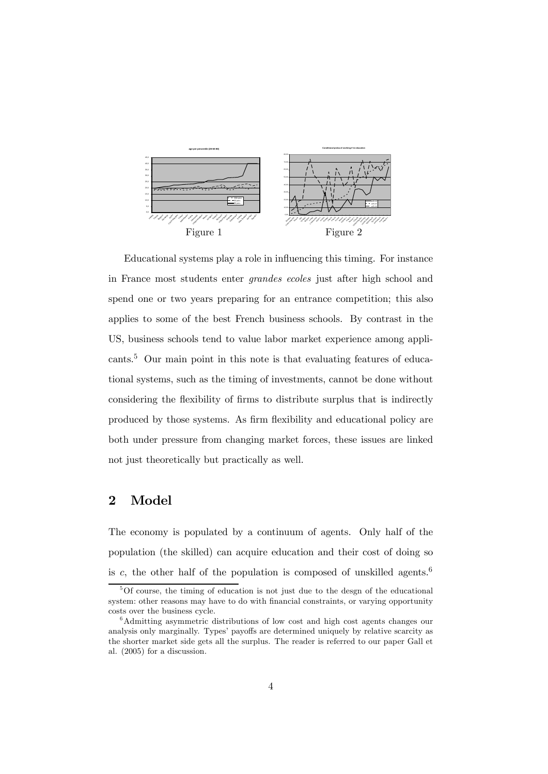

Educational systems play a role in influencing this timing. For instance in France most students enter grandes ecoles just after high school and spend one or two years preparing for an entrance competition; this also applies to some of the best French business schools. By contrast in the US, business schools tend to value labor market experience among applicants.5 Our main point in this note is that evaluating features of educational systems, such as the timing of investments, cannot be done without considering the flexibility of firms to distribute surplus that is indirectly produced by those systems. As firm flexibility and educational policy are both under pressure from changing market forces, these issues are linked not just theoretically but practically as well.

# 2 Model

The economy is populated by a continuum of agents. Only half of the population (the skilled) can acquire education and their cost of doing so is c, the other half of the population is composed of unskilled agents.<sup>6</sup>

<sup>&</sup>lt;sup>5</sup>Of course, the timing of education is not just due to the desgn of the educational system: other reasons may have to do with financial constraints, or varying opportunity costs over the business cycle.

<sup>6</sup>Admitting asymmetric distributions of low cost and high cost agents changes our analysis only marginally. Types' payoffs are determined uniquely by relative scarcity as the shorter market side gets all the surplus. The reader is referred to our paper Gall et al. (2005) for a discussion.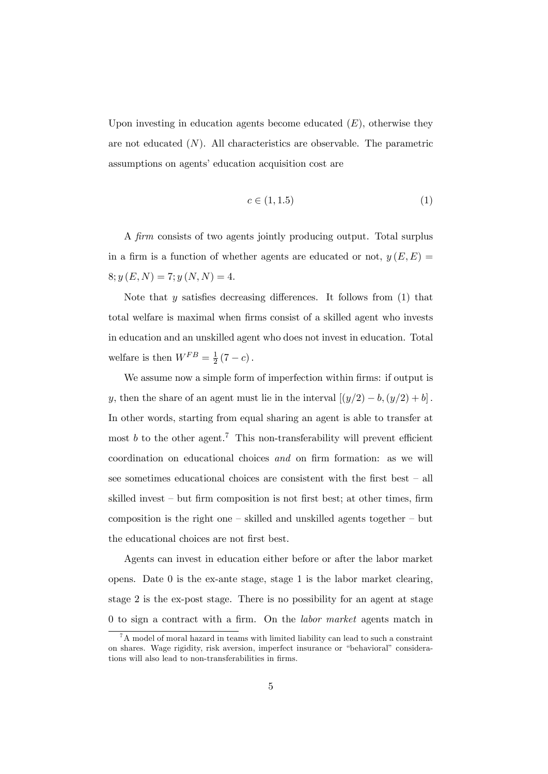Upon investing in education agents become educated  $(E)$ , otherwise they are not educated  $(N)$ . All characteristics are observable. The parametric assumptions on agents' education acquisition cost are

$$
c \in (1, 1.5) \tag{1}
$$

A firm consists of two agents jointly producing output. Total surplus in a firm is a function of whether agents are educated or not,  $y(E,E)$  $8; y(E, N) = 7; y(N, N) = 4.$ 

Note that  $y$  satisfies decreasing differences. It follows from  $(1)$  that total welfare is maximal when firms consist of a skilled agent who invests in education and an unskilled agent who does not invest in education. Total welfare is then  $W^{FB} = \frac{1}{2}(7 - c)$ .

We assume now a simple form of imperfection within firms: if output is y, then the share of an agent must lie in the interval  $[(y/2) - b, (y/2) + b]$ . In other words, starting from equal sharing an agent is able to transfer at most b to the other agent.<sup>7</sup> This non-transferability will prevent efficient coordination on educational choices and on firm formation: as we will see sometimes educational choices are consistent with the first best — all skilled invest — but firm composition is not first best; at other times, firm composition is the right one — skilled and unskilled agents together — but the educational choices are not first best.

Agents can invest in education either before or after the labor market opens. Date  $0$  is the ex-ante stage, stage 1 is the labor market clearing, stage 2 is the ex-post stage. There is no possibility for an agent at stage 0 to sign a contract with a firm. On the labor market agents match in

 $7A$  model of moral hazard in teams with limited liability can lead to such a constraint on shares. Wage rigidity, risk aversion, imperfect insurance or "behavioral" considerations will also lead to non-transferabilities in firms.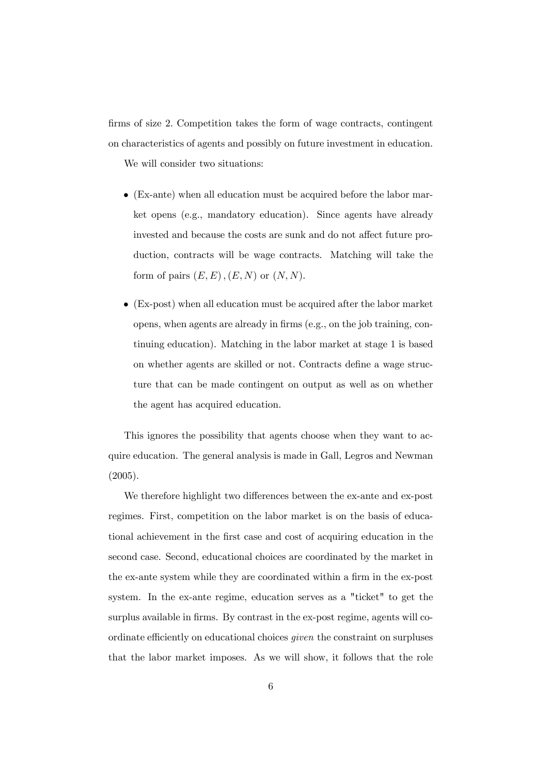firms of size 2. Competition takes the form of wage contracts, contingent on characteristics of agents and possibly on future investment in education.

We will consider two situations:

- (Ex-ante) when all education must be acquired before the labor market opens (e.g., mandatory education). Since agents have already invested and because the costs are sunk and do not affect future production, contracts will be wage contracts. Matching will take the form of pairs  $(E, E), (E, N)$  or  $(N, N)$ .
- (Ex-post) when all education must be acquired after the labor market opens, when agents are already in firms (e.g., on the job training, continuing education). Matching in the labor market at stage 1 is based on whether agents are skilled or not. Contracts define a wage structure that can be made contingent on output as well as on whether the agent has acquired education.

This ignores the possibility that agents choose when they want to acquire education. The general analysis is made in Gall, Legros and Newman (2005).

We therefore highlight two differences between the ex-ante and ex-post regimes. First, competition on the labor market is on the basis of educational achievement in the first case and cost of acquiring education in the second case. Second, educational choices are coordinated by the market in the ex-ante system while they are coordinated within a firm in the ex-post system. In the ex-ante regime, education serves as a "ticket" to get the surplus available in firms. By contrast in the ex-post regime, agents will coordinate efficiently on educational choices given the constraint on surpluses that the labor market imposes. As we will show, it follows that the role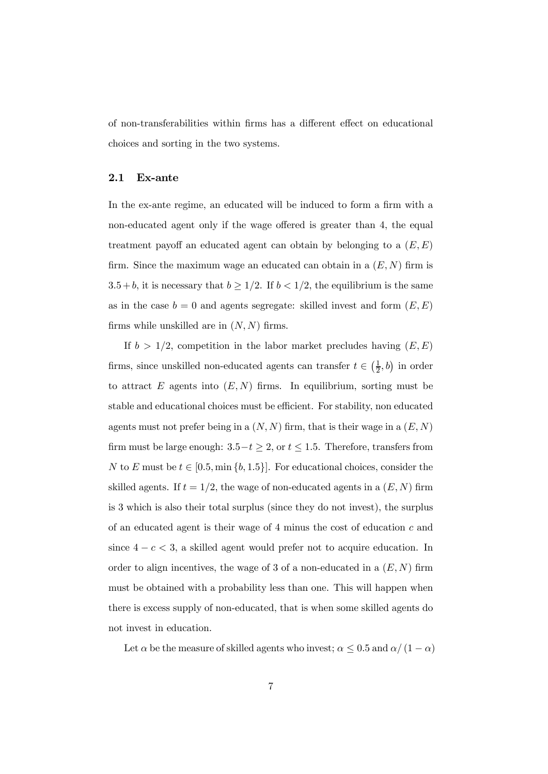of non-transferabilities within firms has a different effect on educational choices and sorting in the two systems.

### 2.1 Ex-ante

In the ex-ante regime, an educated will be induced to form a firm with a non-educated agent only if the wage offered is greater than 4, the equal treatment payoff an educated agent can obtain by belonging to a  $(E, E)$ firm. Since the maximum wage an educated can obtain in a  $(E, N)$  firm is 3.5 + b, it is necessary that  $b \ge 1/2$ . If  $b < 1/2$ , the equilibrium is the same as in the case  $b = 0$  and agents segregate: skilled invest and form  $(E, E)$ firms while unskilled are in  $(N, N)$  firms.

If  $b > 1/2$ , competition in the labor market precludes having  $(E, E)$ firms, since unskilled non-educated agents can transfer  $t \in \left(\frac{1}{2}, b\right)$  in order to attract  $E$  agents into  $(E, N)$  firms. In equilibrium, sorting must be stable and educational choices must be efficient. For stability, non educated agents must not prefer being in a  $(N, N)$  firm, that is their wage in a  $(E, N)$ firm must be large enough:  $3.5-t \geq 2$ , or  $t \leq 1.5$ . Therefore, transfers from N to E must be  $t \in [0.5, \min\{b, 1.5\}]$ . For educational choices, consider the skilled agents. If  $t = 1/2$ , the wage of non-educated agents in a  $(E, N)$  firm is 3 which is also their total surplus (since they do not invest), the surplus of an educated agent is their wage of  $4$  minus the cost of education  $c$  and since  $4 - c < 3$ , a skilled agent would prefer not to acquire education. In order to align incentives, the wage of 3 of a non-educated in a  $(E, N)$  firm must be obtained with a probability less than one. This will happen when there is excess supply of non-educated, that is when some skilled agents do not invest in education.

Let  $\alpha$  be the measure of skilled agents who invest;  $\alpha \leq 0.5$  and  $\alpha/(1-\alpha)$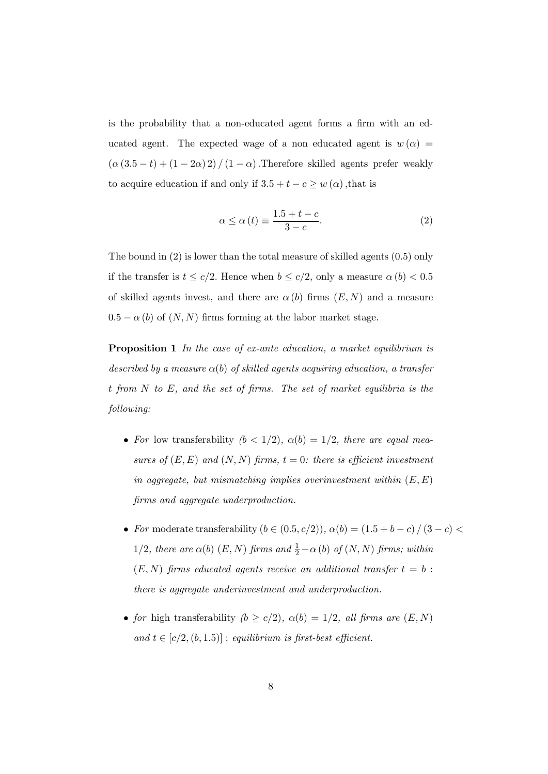is the probability that a non-educated agent forms a firm with an educated agent. The expected wage of a non educated agent is  $w(\alpha) =$  $\left(\alpha\left(3.5-t\right)+\left(1-2\alpha\right)2\right)/\left(1-\alpha\right).$  Therefore skilled agents prefer weakly to acquire education if and only if  $3.5 + t - c \geq w(\alpha)$ , that is

$$
\alpha \le \alpha \left( t \right) \equiv \frac{1.5 + t - c}{3 - c}.\tag{2}
$$

The bound in (2) is lower than the total measure of skilled agents (0.5) only if the transfer is  $t \leq c/2$ . Hence when  $b \leq c/2$ , only a measure  $\alpha(b) < 0.5$ of skilled agents invest, and there are  $\alpha(b)$  firms  $(E, N)$  and a measure  $0.5 - \alpha(b)$  of  $(N, N)$  firms forming at the labor market stage.

Proposition 1 In the case of ex-ante education, a market equilibrium is described by a measure  $\alpha(b)$  of skilled agents acquiring education, a transfer t from N to E, and the set of firms. The set of market equilibria is the following:

- For low transferability  $(b < 1/2)$ ,  $\alpha(b) = 1/2$ , there are equal measures of  $(E, E)$  and  $(N, N)$  firms,  $t = 0$ : there is efficient investment in aggregate, but mismatching implies overinvestment within  $(E, E)$ firms and aggregate underproduction.
- For moderate transferability  $(b \in (0.5, c/2)), \alpha(b) = (1.5 + b c) / (3 c)$ 1/2, there are  $\alpha(b)$   $(E, N)$  firms and  $\frac{1}{2} - \alpha(b)$  of  $(N, N)$  firms; within  $(E, N)$  firms educated agents receive an additional transfer  $t = b$ : there is aggregate underinvestment and underproduction.
- for high transferability  $(b \ge c/2)$ ,  $\alpha(b) = 1/2$ , all firms are  $(E, N)$ and  $t \in [c/2, (b, 1.5)]$ : equilibrium is first-best efficient.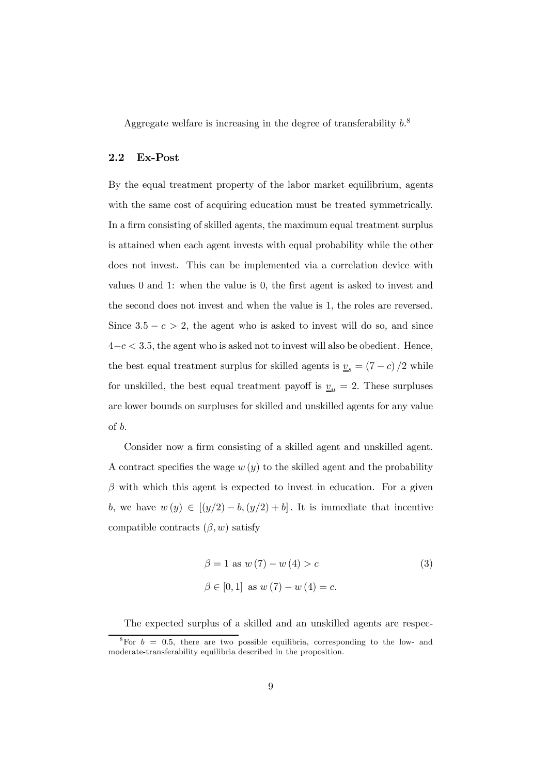Aggregate welfare is increasing in the degree of transferability  $b^8$ .

### 2.2 Ex-Post

By the equal treatment property of the labor market equilibrium, agents with the same cost of acquiring education must be treated symmetrically. In a firm consisting of skilled agents, the maximum equal treatment surplus is attained when each agent invests with equal probability while the other does not invest. This can be implemented via a correlation device with values 0 and 1: when the value is 0, the first agent is asked to invest and the second does not invest and when the value is 1, the roles are reversed. Since  $3.5 - c > 2$ , the agent who is asked to invest will do so, and since  $4-c < 3.5$ , the agent who is asked not to invest will also be obedient. Hence, the best equal treatment surplus for skilled agents is  $\underline{v}_s = (7 - c)/2$  while for unskilled, the best equal treatment payoff is  $v_u = 2$ . These surpluses are lower bounds on surpluses for skilled and unskilled agents for any value of b.

Consider now a firm consisting of a skilled agent and unskilled agent. A contract specifies the wage  $w(y)$  to the skilled agent and the probability  $\beta$  with which this agent is expected to invest in education. For a given b, we have  $w(y) \in [(y/2) - b, (y/2) + b]$ . It is immediate that incentive compatible contracts  $(\beta, w)$  satisfy

$$
\beta = 1 \text{ as } w(7) - w(4) > c
$$
\n
$$
\beta \in [0, 1] \text{ as } w(7) - w(4) = c.
$$
\n(3)

The expected surplus of a skilled and an unskilled agents are respec-

<sup>&</sup>lt;sup>8</sup>For  $b = 0.5$ , there are two possible equilibria, corresponding to the low- and moderate-transferability equilibria described in the proposition.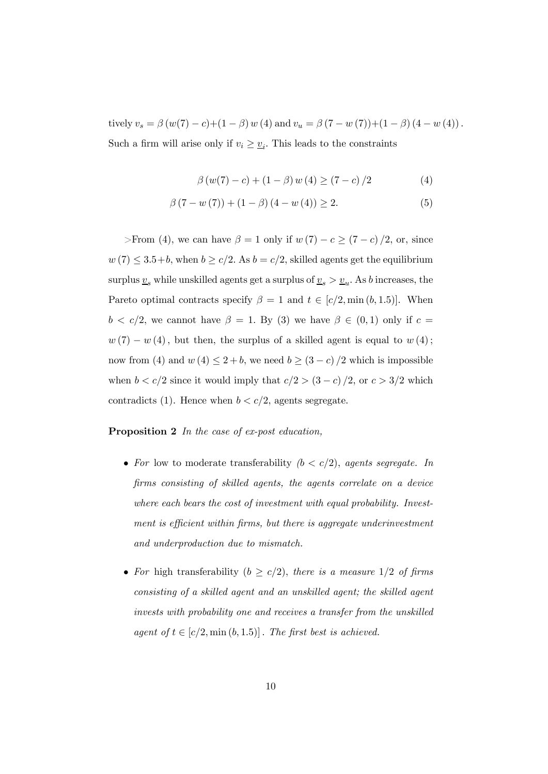tively  $v_s = \beta (w(7) - c) + (1 - \beta) w(4)$  and  $v_u = \beta (7 - w(7)) + (1 - \beta) (4 - w(4))$ . Such a firm will arise only if  $v_i \geq \underline{v}_i$ . This leads to the constraints

$$
\beta(w(7) - c) + (1 - \beta) w(4) \ge (7 - c)/2 \tag{4}
$$

$$
\beta(7 - w(7)) + (1 - \beta)(4 - w(4)) \ge 2.
$$
 (5)

>From (4), we can have  $\beta = 1$  only if  $w(7) - c \ge (7 - c)/2$ , or, since  $w(7) \leq 3.5+b$ , when  $b \geq c/2$ . As  $b = c/2$ , skilled agents get the equilibrium surplus  $\underline{v}_s$  while unskilled agents get a surplus of<br>  $\underline{v}_s > \underline{v}_u.$  As  $b$  increases, the Pareto optimal contracts specify  $\beta = 1$  and  $t \in [c/2, \min(b, 1.5)]$ . When  $b < c/2$ , we cannot have  $\beta = 1$ . By (3) we have  $\beta \in (0,1)$  only if  $c =$  $w(7) - w(4)$ , but then, the surplus of a skilled agent is equal to  $w(4)$ ; now from (4) and  $w(4) \leq 2 + b$ , we need  $b \geq (3 - c)/2$  which is impossible when  $b < c/2$  since it would imply that  $c/2 > (3 - c)/2$ , or  $c > 3/2$  which contradicts (1). Hence when  $b < c/2$ , agents segregate.

Proposition 2 In the case of ex-post education,

- For low to moderate transferability  $(b < c/2)$ , agents segregate. In firms consisting of skilled agents, the agents correlate on a device where each bears the cost of investment with equal probability. Investment is efficient within firms, but there is aggregate underinvestment and underproduction due to mismatch.
- For high transferability ( $b \ge c/2$ ), there is a measure 1/2 of firms consisting of a skilled agent and an unskilled agent; the skilled agent invests with probability one and receives a transfer from the unskilled agent of  $t \in [c/2, \min(b, 1.5)]$ . The first best is achieved.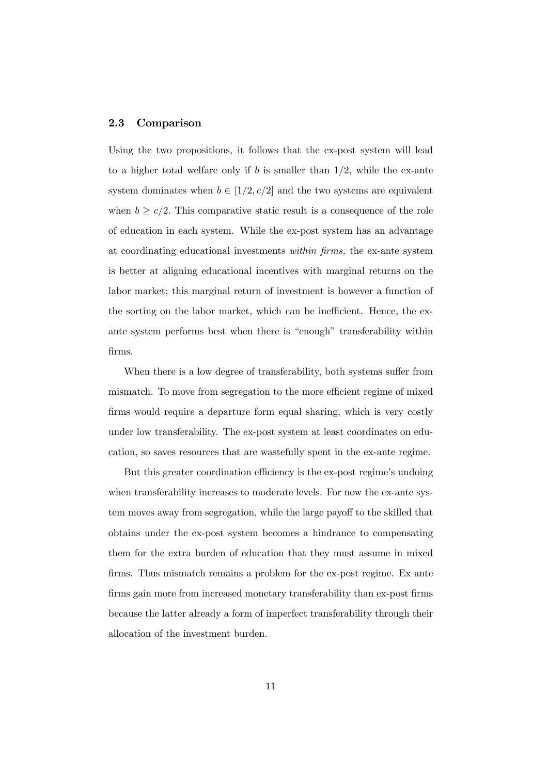#### 2.3 Comparison

Using the two propositions, it follows that the ex-post system will lead to a higher total welfare only if b is smaller than  $1/2$ , while the ex-ante system dominates when  $b \in [1/2, c/2]$  and the two systems are equivalent when  $b \ge c/2$ . This comparative static result is a consequence of the role of education in each system. While the ex-post system has an advantage at coordinating educational investments within firms, the ex-ante system is better at aligning educational incentives with marginal returns on the labor market; this marginal return of investment is however a function of the sorting on the labor market, which can be inefficient. Hence, the exante system performs best when there is "enough" transferability within firms.

When there is a low degree of transferability, both systems suffer from mismatch. To move from segregation to the more efficient regime of mixed firms would require a departure form equal sharing, which is very costly under low transferability. The ex-post system at least coordinates on education, so saves resources that are wastefully spent in the ex-ante regime.

But this greater coordination efficiency is the ex-post regime's undoing when transferability increases to moderate levels. For now the ex-ante system moves away from segregation, while the large payoff to the skilled that obtains under the ex-post system becomes a hindrance to compensating them for the extra burden of education that they must assume in mixed firms. Thus mismatch remains a problem for the ex-post regime. Ex ante firms gain more from increased monetary transferability than ex-post firms because the latter already a form of imperfect transferability through their allocation of the investment burden.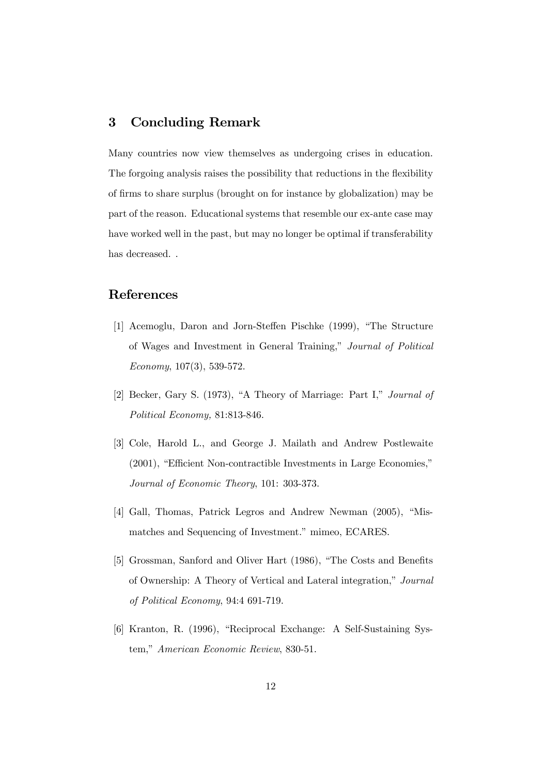### 3 Concluding Remark

Many countries now view themselves as undergoing crises in education. The forgoing analysis raises the possibility that reductions in the flexibility of firms to share surplus (brought on for instance by globalization) may be part of the reason. Educational systems that resemble our ex-ante case may have worked well in the past, but may no longer be optimal if transferability has decreased. .

### References

- [1] Acemoglu, Daron and Jorn-Steffen Pischke (1999), "The Structure of Wages and Investment in General Training," Journal of Political Economy, 107(3), 539-572.
- [2] Becker, Gary S. (1973), "A Theory of Marriage: Part I," Journal of Political Economy, 81:813-846.
- [3] Cole, Harold L., and George J. Mailath and Andrew Postlewaite (2001), "Efficient Non-contractible Investments in Large Economies," Journal of Economic Theory, 101: 303-373.
- [4] Gall, Thomas, Patrick Legros and Andrew Newman (2005), "Mismatches and Sequencing of Investment." mimeo, ECARES.
- [5] Grossman, Sanford and Oliver Hart (1986), "The Costs and Benefits of Ownership: A Theory of Vertical and Lateral integration," Journal of Political Economy, 94:4 691-719.
- [6] Kranton, R. (1996), "Reciprocal Exchange: A Self-Sustaining System," American Economic Review, 830-51.